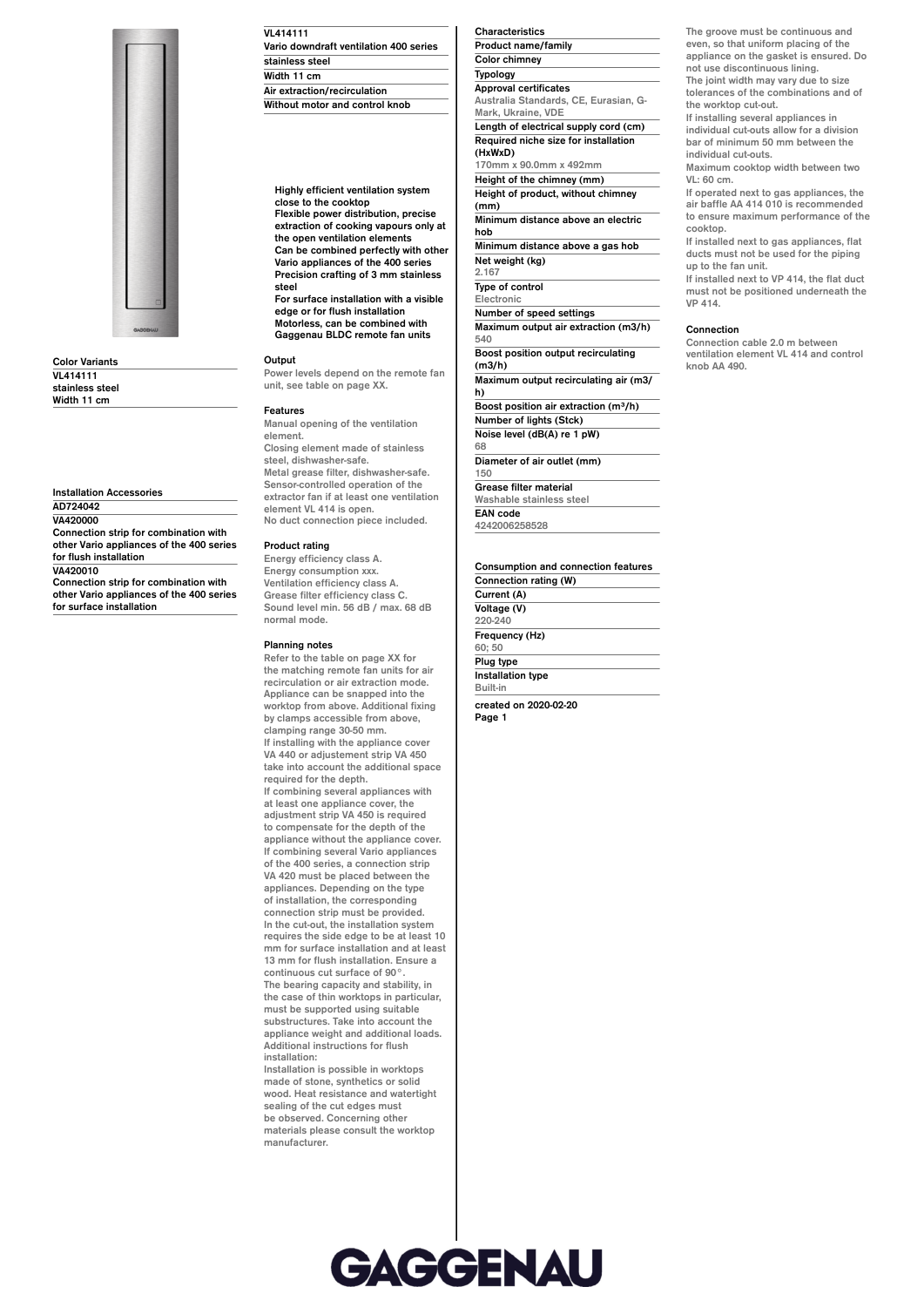

**Color Variants VL414111 stainless steel Width 11 cm**

**Installation Accessories AD724042 VA420000 Connection strip for combination with other Vario appliances of the 400 series for flush installation VA420010**

**Connection strip for combination with other Vario appliances of the 400 series for surface installation**

## **VL414111 Vario downdraft ventilation 400 series stainless steel Width 11 cm Air extraction/recirculation Without motor and control knob**

**Highly efficient ventilation system close to the cooktop**

**Flexible power distribution, precise extraction of cooking vapours only at the open ventilation elements Can be combined perfectly with other Vario appliances of the 400 series Precision crafting of 3 mm stainless**

**steel For surface installation with a visible edge or for flush installation Motorless, can be combined with Gaggenau BLDC remote fan units**

## **Output**

**Power levels depend on the remote fan unit, see table on page XX.**

#### **Features**

**Manual opening of the ventilation element. Closing element made of stainless steel, dishwasher-safe. Metal grease filter, dishwasher-safe. Sensor-controlled operation of the extractor fan if at least one ventilation element VL 414 is open. No duct connection piece included.**

## **Product rating**

**Energy efficiency class A. Energy consumption xxx. Ventilation efficiency class A. Grease filter efficiency class C. Sound level min. 56 dB / max. 68 dB normal mode.**

## **Planning notes**

**Refer to the table on page XX for the matching remote fan units for air recirculation or air extraction mode. Appliance can be snapped into the worktop from above. Additional fixing by clamps accessible from above, clamping range 30-50 mm. If installing with the appliance cover VA 440 or adjustement strip VA 450 take into account the additional space required for the depth. If combining several appliances with at least one appliance cover, the adjustment strip VA 450 is required to compensate for the depth of the appliance without the appliance cover. If combining several Vario appliances of the 400 series, a connection strip VA 420 must be placed between the appliances. Depending on the type of installation, the corresponding connection strip must be provided. In the cut-out, the installation system requires the side edge to be at least 10 mm for surface installation and at least 13 mm for flush installation. Ensure a continuous cut surface of 90°. The bearing capacity and stability, in**

**the case of thin worktops in particular, must be supported using suitable substructures. Take into account the appliance weight and additional loads. Additional instructions for flush installation:**

**Installation is possible in worktops made of stone, synthetics or solid wood. Heat resistance and watertight sealing of the cut edges must be observed. Concerning other materials please consult the worktop manufacturer.**

## **Characteristics Product name/family Color chimney Typology Approval certificates Australia Standards, CE, Eurasian, G-Mark, Ukraine, VDE Length of electrical supply cord (cm) Required niche size for installation (HxWxD) 170mm x 90.0mm x 492mm Height of the chimney (mm) Height of product, without chimney (mm) Minimum distance above an electric hob Minimum distance above a gas hob Net weight (kg) 2.167 Type of control Electronic Number of speed settings Maximum output air extraction (m3/h) 540 Boost position output recirculating (m3/h) Maximum output recirculating air (m3/ h) Boost position air extraction (m³/h) Number of lights (Stck) Noise level (dB(A) re 1 pW) 68 Diameter of air outlet (mm) 150 Grease filter material Washable stainless steel EAN code 4242006258528**

**Consumption and connection features Connection rating (W) Current (A) Voltage (V) 220-240 Frequency (Hz) 60; 50 Plug type**

**Installation type Built-in**

**created on 2020-02-20 Page 1**

**The groove must be continuous and even, so that uniform placing of the appliance on the gasket is ensured. Do not use discontinuous lining.**

**The joint width may vary due to size tolerances of the combinations and of the worktop cut-out.**

**If installing several appliances in individual cut-outs allow for a division bar of minimum 50 mm between the individual cut-outs.**

**Maximum cooktop width between two VL: 60 cm.**

**If operated next to gas appliances, the air baffle AA 414 010 is recommended to ensure maximum performance of the cooktop.**

**If installed next to gas appliances, flat ducts must not be used for the piping up to the fan unit.**

**If installed next to VP 414, the flat duct must not be positioned underneath the VP 414.**

#### **Connection**

**Connection cable 2.0 m between ventilation element VL 414 and control knob AA 490.**

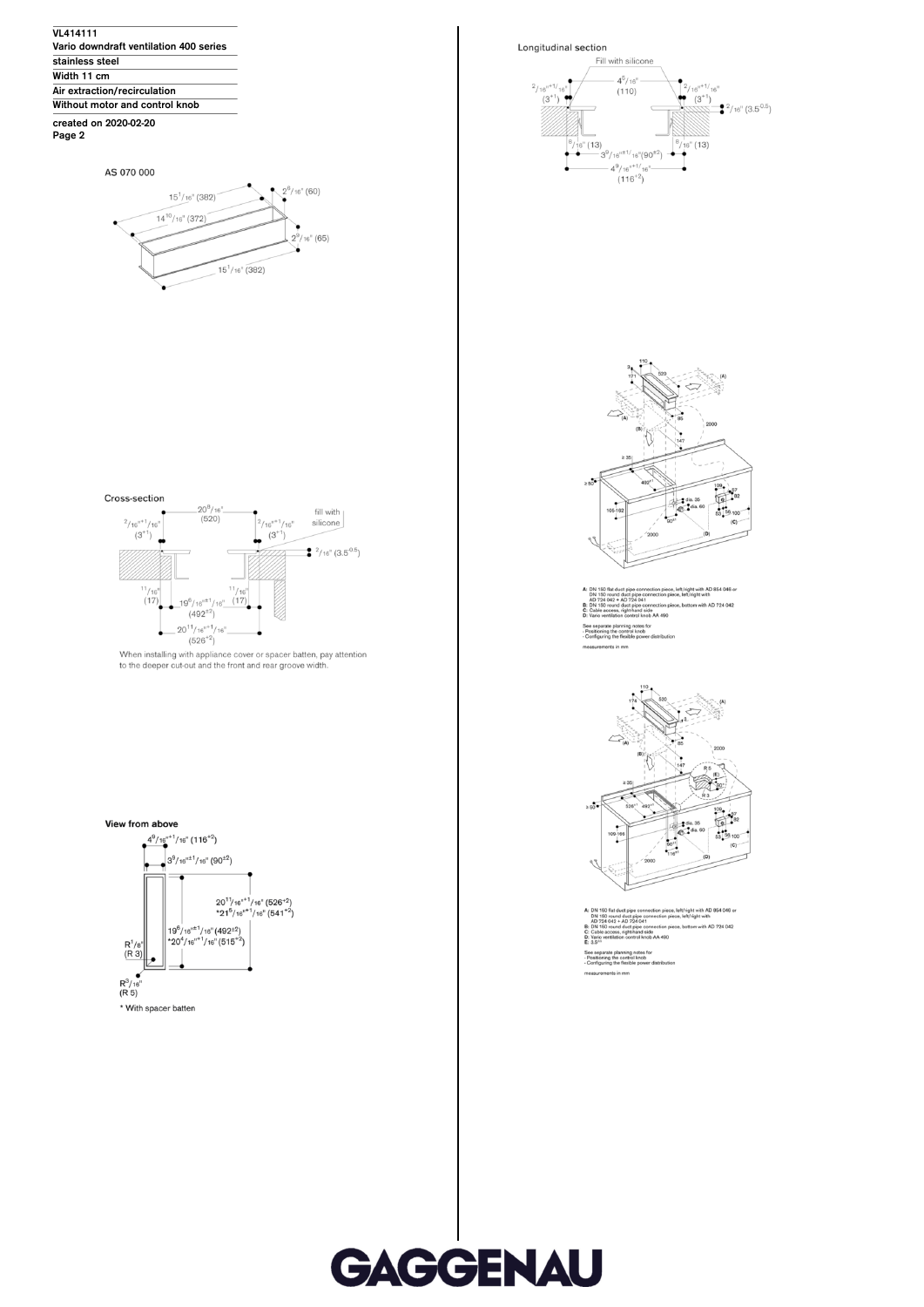

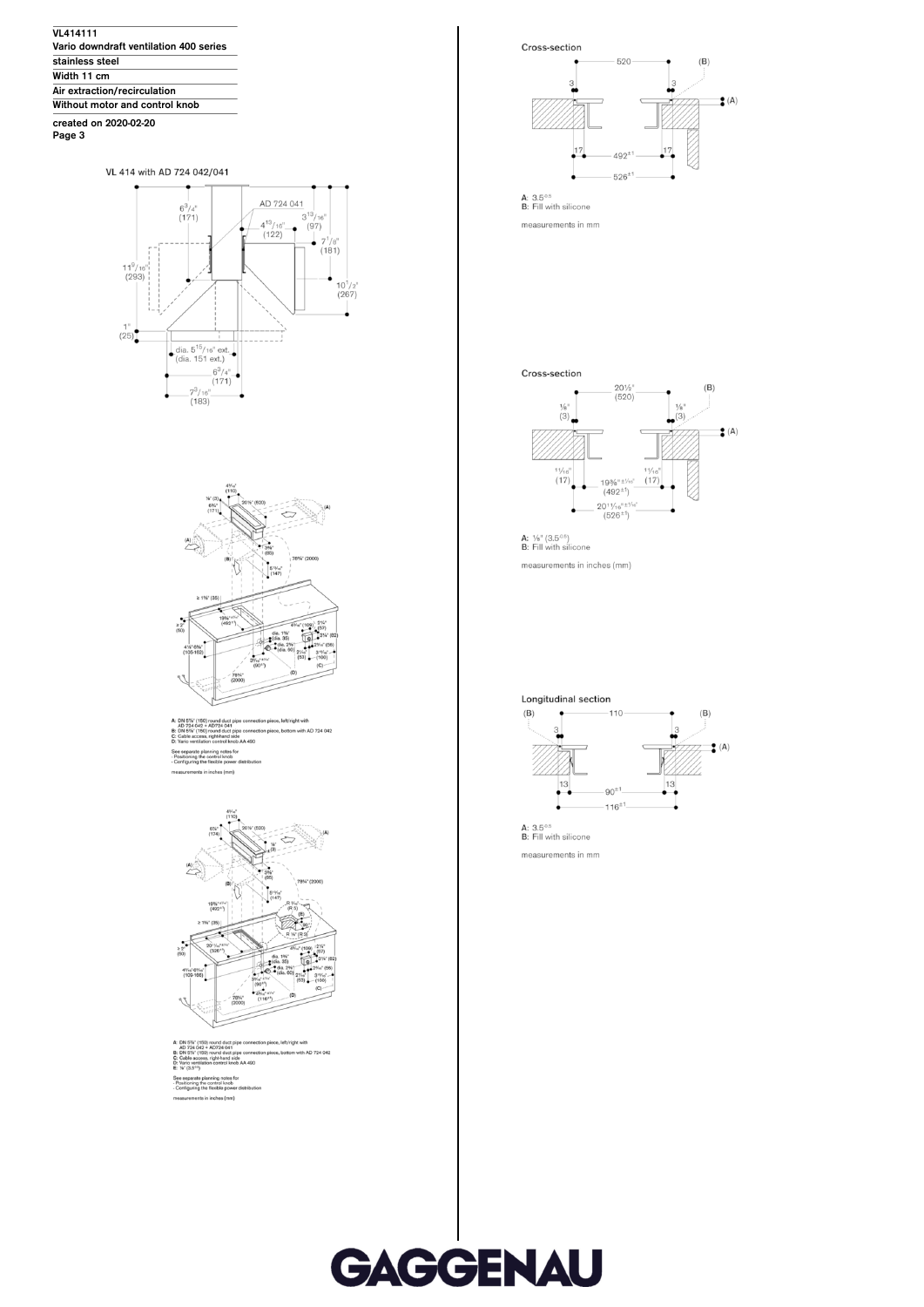

VL 414 with AD 724 042/041





with AD 724 04 wanning notes for the control knob<br>ting the flexible See<br>Pos<br>Cor



iece. bottom with AD 724 042



measurements in mm



**A:**  $\frac{1}{8}$ " (3.5<sup>-0.5</sup>)<br>**B**: Fill with silicone measurements in inches (mm)



measurements in mm